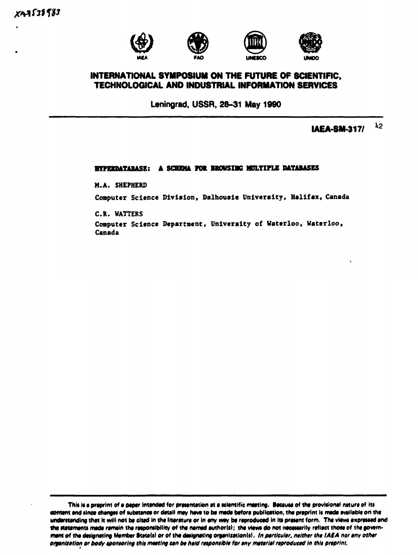





# INTERNATIONAL SYMPOSIUM ON THE FUTURE OF SCIENTIFIC. TECHNOLOGICAL AND INDUSTRIAL INFORMATION SERVICES

Leningrad, USSR, 28-31 May 1990

#### $12$ **IAEA-SM-317/**

#### **HYPERDATARASE: A SCHEMA FOR BROWSING MULTIPLE DATABASES**

M.A. SHEPHERD

Computer Science Division, Dalhousie University, Halifax, Canada

C.R. WATTERS

Computer Science Department, University of Waterloo, Waterloo, Canada

This is a preprint of a paper intended for presentation at a scientific meeting. Because of the provisional nature of its content and since changes of substance or detail may have to be made before publication, the preprint is made available on the understanding that it will not be cited in the literature or in eny way be reproduced in its present form. The views expressed and the statements made remain the responsibility of the named author(s); the views do not necessarily reflect those of the government of the designating Member State(s) or of the designating organization(s). In particular, neither the IAEA nor any other organization or body sponsoring this meeting can be haid responsible for any material reproduced in this preprint.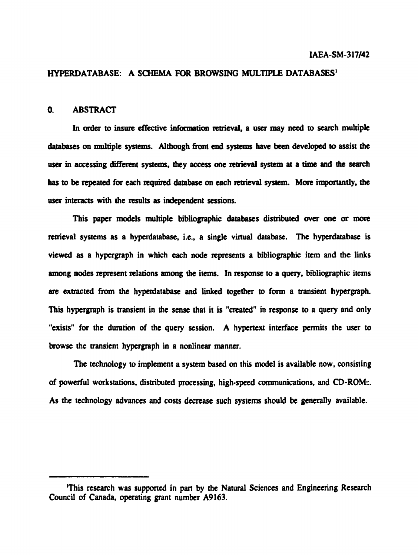# **HYPERDATABASE: A SCHEMA TOR BROWSING MULTIPLE DATABASES<sup>1</sup>**

#### **0. ABSTRACT**

**In order to insure effective information retrieval, a user may need to search multiple databases on multiple systems. Although front end systems have been developed to assist the user in accessing different systems, they access one retrieval system at a time and the search has to be repeated for each required database on each retrieval system. More importantly, the user interacts with the results as independent sessions.** 

**This paper models multiple bibliographic databases distributed over one or more retrieval systems as a hyperdatabase, i.e., a single virtual database. The hyperdatabase is viewed as a hypergraph in which each node represents a bibliographic item and the links among nodes represent relations among the items. In response to a query, bibliographic items are extracted from the hyperdatabase and linked together to form a transient hypergraph. This hypergraph is transient in the sense that it is "created" in response to a query and only "exists" for the duration of the query session. A hypertext interface permits the user to browse the transient hypergraph in a nonlinear manner.** 

**The technology to implement a system based on this model is available now, consisting of powerful workstations, distributed processing, high-speed communications, and CD-ROM:. As the technology advances and costs decrease such systems should be generally available.** 

**<sup>&#</sup>x27;This research was supported in part by the Natural Sciences and Engineering Research Council of Canada, operating grant number A9163.**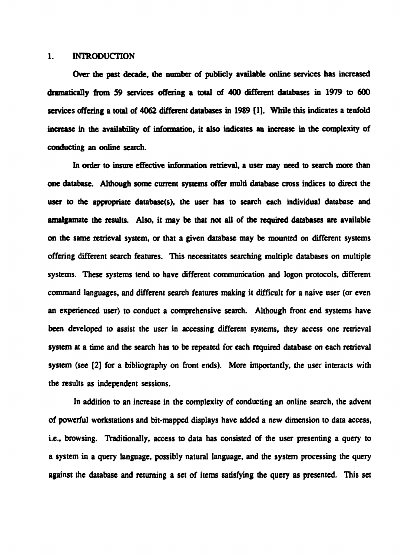#### **1. INTRODUCTION**

**Over the past decade, the number of publicly available online services has increased dramatically from 59 services offering a total of 400 different databases in 1979 to 600 services offering a total of 4062 different databases in 1989 [1]. While this indicates a tenfold increase in the availability of information, it also indicates an increase in the complexity of conducting an online search.** 

**In order to insure effective information retrieval, a user may need to search more than**  one database. Although some current systems offer multi database cross indices to direct the **user to the appropriate database(s), the user has to search each individual database and amalgamate the results. Also, it may be that not all of the required databases are available on the same retrieval system, or that a given database may be mounted on different systems offering different search features. This necessitates searching multiple databases on multiple systems. These systems tend to have different communication and logon protocols, different command languages, and different search features making it difficult for a naive user (or even an experienced user) to conduct a comprehensive search. Although front end systems have been developed to assist the user in accessing different systems, they access one retrieval system at a time and the search has to be repeated for each required database on each retrieval system (see [2] for a bibliography on front ends). More importantly, the user interacts with the results as independent sessions.** 

**In addition to an increase in the complexity of conducting an online search, the advent of powerful workstations and bit-mapped displays have added a new dimension to data access, i.e., browsing. Traditionally, access to data has consisted of the user presenting a query to a system in a query language, possibly natural language, and the system processing the query against the database and returning a set of items satisfying the query as presented. This set**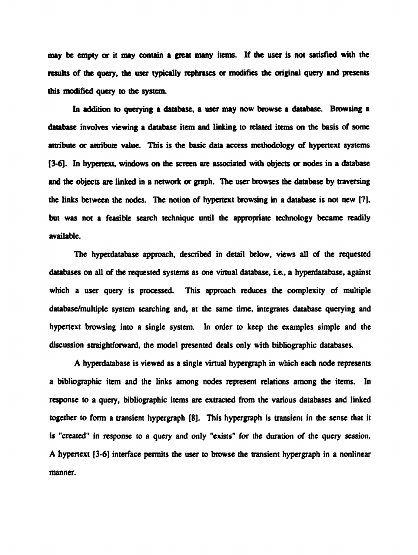**may be empty or it may contain a great many items. If the user is not satisfied with the results of the query, the user typically rephrases or modifies the original query and presents this modified query to die system.** 

**In addition to querying a database, a user may now browse a database. Browsing a database involves viewing a database item and linking to related items on the basis of some attribute or attribute value. This is the basic data access methodology of hypertext systems [3-6]. In hypertext, windows on the screen are associated with objects or nodes in a database and the objects are linked in a network or graph. The user browses the database by traversing the links between the nodes. The notion of hypertext browsing in a database is not new [7], but was not a feasible search technique until the appropriate technology became readily available.** 

**The hyperdatabase approach, described in detail below, views all of the requested databases on all of the requested systems as one virtual database, i.e., a hyperdatabase, against which a user query is processed. This approach reduces the complexity of multiple database/multiple system searching and, at the same time, integrates database querying and hypertext browsing into a single system. In order to keep the examples simple and the discussion straightforward, the model presented deals only with bibliographic databases.** 

**A hyperdatabase is viewed as a single virtual hypergraph in which each node represents a bibliographic item and the links among nodes represent relations among the items. In response to a query, bibliographic items are extracted from the various databases and linked together to form a transient hypergraph [8]. This hypergraph is transient in the sense that it is "created" in response to a query and only "exists" for the duration of the query session. A hypertext [3-6] interface permits the user to browse the transient hypergraph in a nonlinear manner.**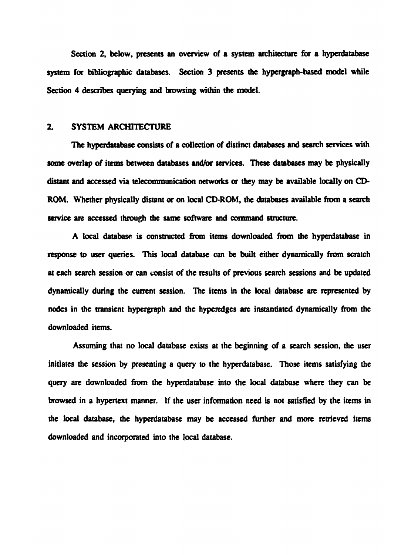**Section 2, below, presents an overview of a system architecture for a hyperdatabase system for bibliographic databases. Section 3 presents the hypergraph-based model while Section 4 describes querying and browsing within the model.** 

#### **2. SYSTEM ARCHITECTURE**

**The hyperdatabase consists of a collection of distinct databases and search services with some overlap of items between databases and/or services. These databases may be physically distant and accessed via telecommunication networks or they may be available locally on CD-ROM. Whether physically distant or on local CD-ROM, the databases available from a search service are accessed through the same software and command structure.** 

**A local database is constructed from items downloaded from the hyperdatabase in response to user queries. This local database can be built either dynamically from scratch at each search session or can consist of the results of previous search sessions and be updated dynamically during the current session. The items in the local database are represented by nodes in the transient hypergraph and the hyperedges are instantiated dynamically from the downloaded items.** 

**Assuming that no local database exists at the beginning of a search session, the user initiates the session by presenting a query to the hyperdatabase. Those items satisfying the query are downloaded from the hyperdatabase into the local database where they can be browsed in a hypertext manner. If the user information need is not satisfied by the items in the local database, the hyperdatabase may be accessed further and more retrieved items downloaded and incorporated into the local database.**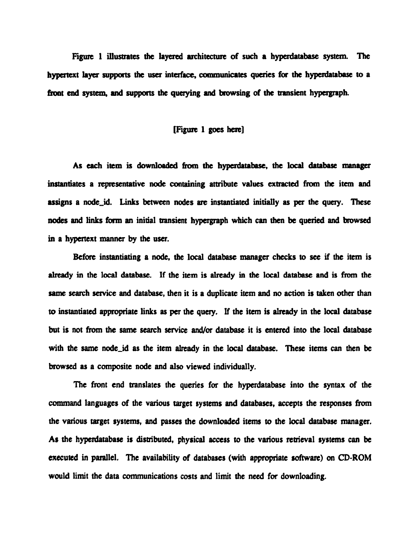**Figure 1 illustrates the layered architecture of such a hyperdatabase system. The hypertext layer supports the user interface, communicates queries for the hyperdatabase to a front end system, and supports the querying and browsing of the transient hypergraph.** 

# **[Figure 1 goes here]**

**As each item is downloaded from die hyperdatabase, the local database manager instantiates a representative node containing attribute values extracted from the item and assigns a node.id. Links between nodes are instantiated initially as per the query. These nodes and links form an initial transient hypergraph which can then be queried and browsed in a hypertext manner by the user.** 

**Before instantiating a node, the local database manager checks to see if the item is already in the local database. If the item is already in die local database and is from the**  same search service and database, then it is a duplicate item and no action is taken other than **to instantiated appropriate links as per the query. If the item is already in the local database but is not from the same search service and/or database it is entered into the local database with the same node\_id as the item already in the local database. These items can then be browsed as a composite node and also viewed individually.** 

**The front end translates the queries for the hyperdatabase into die syntax of the command languages of the various target systems and databases, accepts the responses from die various target systems, and passes die downloaded items to the local database manager. As die hyperdatabase is distributed, physical access to die various retrieval systems can be executed in parallel. The availability of databases (with appropriate software) on CD-ROM would limit the data communications costs and limit die need for downloading.**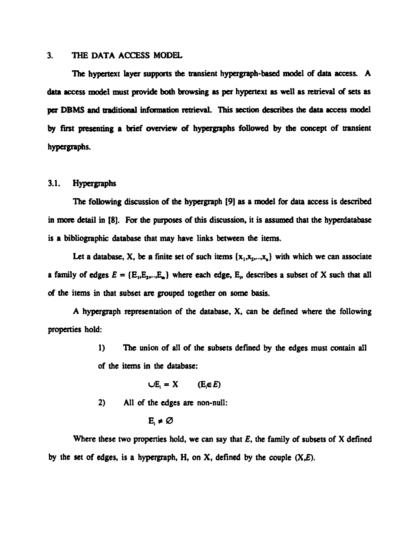## **3. THE DATA ACCESS MODEL**

**The hypertext layer supports the transient hypergraph-based model of data access. A data access model must provide both browsing as per hypertext as well as retrieval of sets as per DBMS and traditional infonnation retrieval. This section describes the data access model by first presenting a brief overview of hypergraphs followed by the concept of transient hypergraphs.** 

## **3.1. Hypergraphs**

**The following discussion of the hypergraph [9] as a model for data access is described in more detail in [8]. For the purposes of this discussion, it is assumed that the hyperdatabase is a bibliographic database that may have links between the items.** 

Let a database, X, be a finite set of such items  $\{x_1, x_2, \ldots, x_n\}$  with which we can associate **a** family of edges  $E = \{E_1, E_2, \dots, E_n\}$  where each edge,  $E_i$ , describes a subset of X such that all **of the items in that subset are grouped together on some basis.** 

**A hypergraph representation of the database, X, can be defined where the following properties hold:** 

> **1) The union of all of the subsets defined by the edges must contain all of the items in the database:**

$$
\bigcup E_i = X \qquad (E_i \in E)
$$

**2) All of the edges are non-null:** 

$$
\mathbf{E}_{i} \neq \varnothing
$$

**Where these two properties hold, we can say that** *E,* **the family of subsets of X defined**  by the set of edges, is a hypergraph,  $H$ , on  $X$ , defined by the couple  $(X,E)$ .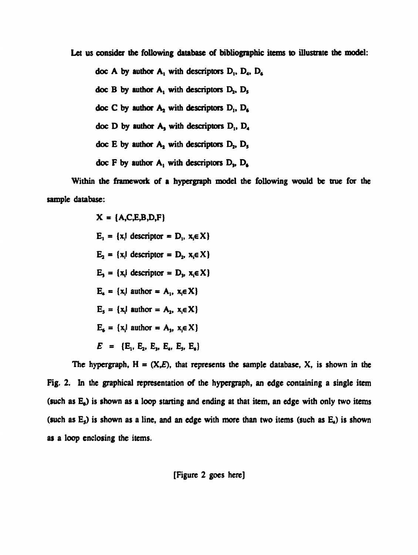Let us consider the following database of bibliographic items to illustrate the model:

doc A by author  $A_1$  with descriptors  $D_1$ ,  $D_4$ ,  $D_5$ **doc by author A, with descriptors D,, D, doc C** by author  $A_2$  with descriptors  $D_1$ ,  $D_4$ doc D by author  $A_1$  with descriptors  $D_1$ ,  $D_4$ doc E by author  $A_2$  with descriptors  $D_2$ ,  $D_3$ doc F by author  $A_1$  with descriptors  $D_3$ ,  $D_4$ 

**Within the framework of a hypergraph model the following would be true for the sample database:** 

> $X = \{A, C, E, B, D, F\}$  $E_i = \{x_i \}$  descriptor =  $D_i$ ,  $x_i \in X$  $E_2 = \{x_i | \text{ descriptor} = D_2, x_i \in X\}$  $E_3 = \{x_i | \text{ descriptor} = D_3, x_i \in X\}$  $E_4 = \{x_i | \text{ author} = A_1, x_i \in X\}$  $E_5 = \{x_i | \text{ author} = A_2, x_i \in X\}$  $E_6 = \{x_i | \text{ author} = A_3, x_i \in X\}$  $E = \{E_1, E_2, E_3, E_4, E_5, E_6\}$

The hypergraph,  $H = (X,E)$ , that represents the sample database, X, is shown in the **Fig. 2. In the graphical representation of the hypergraph, an edge containing a single item (such as E6) is shown as a loop starting and ending at that item, an edge with only two items (such as E5) is shown as a line, and an edge with more than two items (such as E4) is shown as a loop enclosing the items.** 

**[Figure 2 goes here]**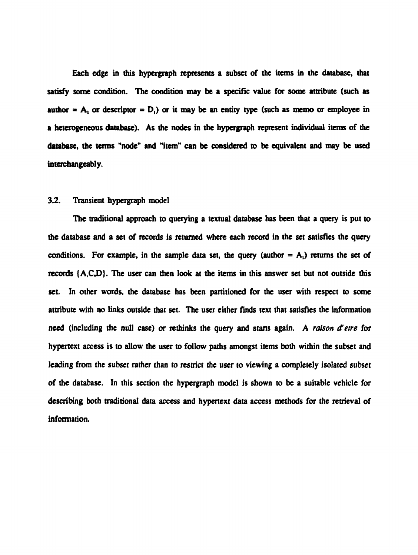**Each edge in this hypergraph represents a subset of the items in the database, that satisfy some condition. The condition may be a specific value for some attribute (such as author = A, or descriptor = D,) or it may be an entity type (such as memo or employee in a heterogeneous database). As die nodes in the hypergraph represent individual items of the database, the terms "node" and "item" can be considered to be equivalent and may be used interchangeably.** 

## **3.2. Transient hypergraph model**

**The traditional approach to querying a textual database has been that a query is put to the database and a set of records is returned where each record in the set satisfies the query**  conditions. For example, in the sample data set, the query (author  $= A_1$ ) returns the set of **records {A,C,D}. The user can then look at the items in this answer set but not outside this set. In other words, the database has been partitioned for the user with respect to some attribute with no links outside that set. The user either finds text that satisfies the information need (including the null case) or rediinks the query and starts again. A** *raison d'etre* **for hypertext access is to allow the user to follow paths amongst items both within the subset and leading from the subset rather than to restrict the user to viewing a completely isolated subset of the database. In this section the hypergraph model is shown to be a suitable vehicle for describing both traditional data access and hypertext data access methods for the retrieval of information.**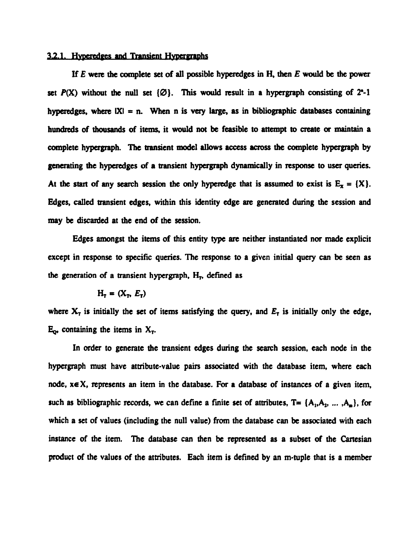#### **3.2.1. Hyperedges and Transient Hvpergraphs**

**If £ were the complete set of all possible hyperedges in H, then** *E* **would be the power**  set  $P(X)$  without the null set  $\{\emptyset\}$ . This would result in a hypergraph consisting of  $2^{n}-1$ hyperedges, where  $|X| = n$ . When n is very large, as in bibliographic databases containing **hundreds of thousands of items, it would not be feasible to attempt to create or maintain a complete hypergraph. The transient model allows access across the complete hypergraph by generating the hyperedges of a transient hypergraph dynamically in response to user queries.**  At the start of any search session the only hyperedge that is assumed to exist is  $E_x = \{X\}$ . **Edges, called transient edges, within this identity edge are generated during the session and may be discarded at the end of the session.** 

**Edges amongst the items of this entity type are neither instantiated nor made explicit except in response to specific queries. The response to a given initial query can be seen as**  the generation of a transient hypergraph,  $H<sub>p</sub>$ , defined as

$$
H_{\tau} = (X_{\tau}, E_{\tau})
$$

where  $X_T$  is initially the set of items satisfying the query, and  $E_T$  is initially only the edge,  $E_q$ , containing the items in  $X_T$ .

**In order to generate the transient edges during the search session, each node in the hypergraph must have attribute-value pairs associated with the database item, where each node, xeX, represents an item in the database. For a database of instances of a given item,**  such as bibliographic records, we can define a finite set of attributes,  $T = \{A_1, A_2, \dots, A_m\}$ , for **which a set of values (including the null value) from the database can be associated with each instance of the item. The database can then be represented as a subset of the Cartesian product of the values of the attributes. Each item is defined by an m-tuple that is a member**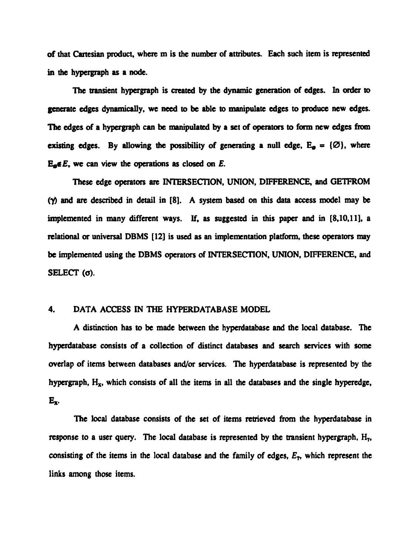**of that Cartesian product, where m is the number of attributes. Each such item is represented in the hypergraph as a node.** 

**The transient hypergraph is created by the dynamic generation of edges. In order to generate edges dynamically, we need to be able to manipulate edges to produce new edges. The edges of a hypergraph can be manipulated by a set of operators to form new edges from**  existing edges. By allowing the possibility of generating a null edge,  $E_{\mathbf{g}} = \{\emptyset\}$ , where  $E_{\alpha} \notin E$ , we can view the operations as closed on  $E$ .

**These edge operators are INTERSECTION, UNION, DIFFERENCE, and GETFROM (y) and are described in detail in [8]. A system based on this data access model may be implemented in many different ways. If, as suggested in this paper and in [8,10,11], a relational or universal DBMS [12] is used as an implementation platform, these operators may be implemented using the DBMS operators of INTERSECTION, UNION, DIFFERENCE, and SELECT (o).** 

## **4. DATA ACCESS IN THE HYPERDATABASE MODEL**

**A distinction has to be made between the hyperdatabase and the local database. The hyperdatabase consists of a collection of distinct databases and search services with some overlap of items between databases and/or services. The hyperdatabase is represented by the hypergraph, Hx, which consists of all the items in all the databases and the single hyperedge, Ex.** 

**The local database consists of the set of items retrieved from the hyperdatabase in response to a user query.** The local database is represented by the transient hypergraph,  $H<sub>T</sub>$ , consisting of the items in the local database and the family of edges,  $E<sub>r</sub>$ , which represent the **links among those items.**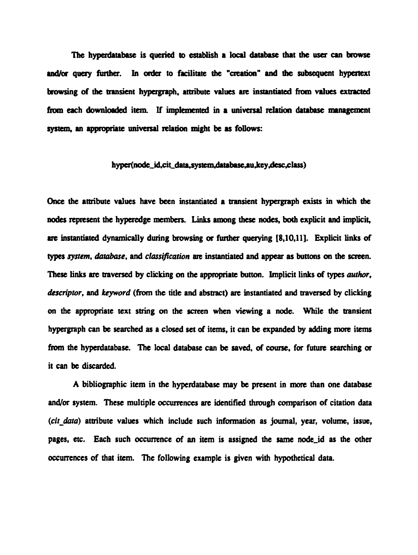**The hyperdatabase is queried to establish a local database that the user can browse and/or query further. In order to facilitate the "creation" and die subsequent hypertext browsing of the transient hypergraph, attribute values are instantiated from values extracted from each downloaded item. If implemented in a universal relation database management system, an appropriate universal relation might be as follows:** 

#### hyper(node\_id,cit\_data,system.database.au.key.desc.class)

**(bee the attribute values have been instantiated a transient hypergraph exists in which the nodes represent the hyperedge members. Links among these nodes, both explicit and implicit, are instantiated dynamically during browsing or further querying [8,10,11]. Explicit links of types** *system, database,* **and** *classification* **are instantiated and appear as buttons on the screen. These links are traversed by clicking on the appropriate button. Implicit links of types** *author, descriptor,* **and** *keyword* **(from the title and abstract) are instantiated and traversed by clicking on the appropriate text string on the screen when viewing a node. While the transient hypergraph can be searched as a closed set of items, it can be expanded by adding more items from the hyperdatabase. The local database can be saved, of course, for future searching or it can be discarded.** 

**A bibliographic item in the hyperdatabase may be present in more than one database and/or system. These multiple occurrences are identified through comparison of citation data**  *{citjdata)* **attribute values which include such information as journal, year, volume, issue, pages, etc. Each such occurrence of an item is assigned the same node\_id as the other occurrences of that item. The following example is given with hypothetical data.**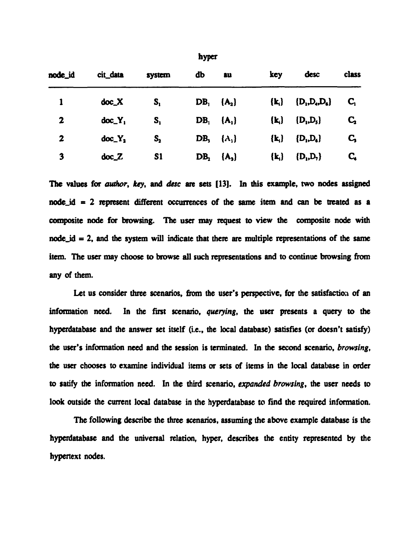| node_id                 | cit_data  | system  | db              | au      | key       | desc                | class                     |
|-------------------------|-----------|---------|-----------------|---------|-----------|---------------------|---------------------------|
| $\mathbf{1}$            | $doc_X$   | $S_{1}$ | $DB_1$          | $[A_2]$ | $\{k_i\}$ | $\{D_1, D_4, D_6\}$ | $\mathbf{C}_{\mathbf{1}}$ |
| $\mathbf{2}$            | $doc_Y_1$ | $S_{1}$ | $DB_1$          | ${A_1}$ | $\{k_i\}$ | $(D_i, D_j)$        | $\mathbf{C_{2}}$          |
| $\overline{\mathbf{2}}$ | $doc_Y_2$ | $S_{2}$ | DB <sub>1</sub> | ${A_1}$ | $\{k_i\}$ | $\{D_i, D_i\}$      | $\mathbf{C}_\mathbf{S}$   |
| $\overline{\mathbf{3}}$ | $doc_ Z$  | S1      | DB,             | $(A_2)$ | $\{k_i\}$ | $\{D_1,D_7\}$       | $\mathbf{C}_\mathbf{a}$   |

**hyper** 

**The values for** *author, key,* **and** *desc* **are sets [13]. In this example, two nodes assigned**   $node_id = 2$  represent different occurrences of the same item and can be treated as a **composite node for browsing. The user may request to view the composite node with**   $node_id = 2$ , and the system will indicate that there are multiple representations of the same **item. The user may choose to browse all such representations and to continue browsing from any of them.** 

**Let us consider three scenarios, from the user's perspective, for the satisfaction of an information need. In the first scenario,** *querying,* **the user presents a query to the hyperdatabase and the answer set itself (i.e., the local database) satisfies (or doesn't satisfy) the user's information need and the session is terminated. In the second scenario,** *browsing,*  **the user chooses to examine individual items or sets of items in the local database in order to satify the information need. In the third scenario,** *expanded browsing,* **the user needs to look outside the current local database in the hyperdatabase to find the required information.** 

**The following describe the three scenarios, assuming the above example database is the hyperdatabase and the universal relation, hyper, describes the entity represented by the hypertext nodes.**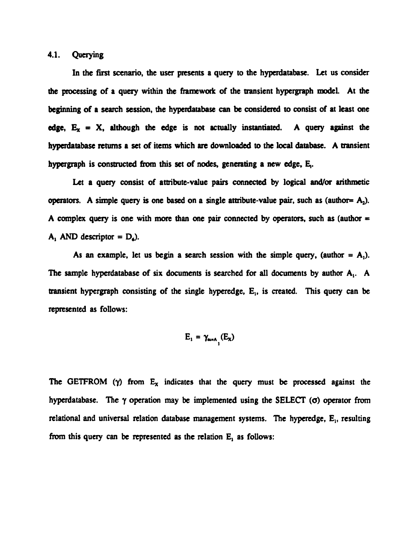#### **4.1. Querying**

**In the first scenario, the user presents a query to the hyperdatabase. Let us consider the processing of a query within the framework of the transient hypergraph model. At the beginning of a search session, the hyperdatabase can be considered to consist of at least one**  edge,  $E_x = X$ , although the edge is not actually instantiated. A query against the **hyperdatabase returns a set of items which are downloaded to the local database. A transient hypergraph is constructed from this set of nodes, generating a new edge, E,.** 

**Let a query consist of attribute-value pairs connected by logical and/or arithmetic operators.** A simple query is one based on a single attribute-value pair, such as (author=  $A_2$ ). **A complex query is one with more than one pair connected by operators, such as (author** *-*  $A_1$  AND descriptor =  $D_6$ ).

As an example, let us begin a search session with the simple query, (author  $= A_1$ ). **The sample hyperdatabase of six documents is searched for all documents by author A,. A**  transient hypergraph consisting of the single hyperedge, E<sub>1</sub>, is created. This query can be **represented as follows:** 

$$
E_1 = \gamma_{\max} (E_x)
$$

The GETFROM  $(\gamma)$  from  $E_x$  indicates that the query must be processed against the hyperdatabase. The  $\gamma$  operation may be implemented using the SELECT  $(\sigma)$  operator from relational and universal relation database management systems. The hyperedge, E<sub>1</sub>, resulting **from this query can be represented as the relation E, as follows:**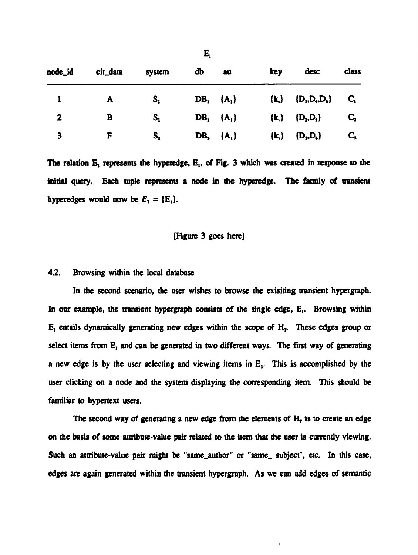| node_id      | cit_data | system  | ďb  | au             | key       | desc                                       | class                     |
|--------------|----------|---------|-----|----------------|-----------|--------------------------------------------|---------------------------|
|              | A        | $S_i$   |     | $DB_1$ $(A_1)$ |           | $\{k_i\}$ $\{D_i, D_4, D_6\}$              | $\mathbf{C}_{\mathbf{I}}$ |
| $\mathbf{2}$ | в        | S,      |     | $DB_1$ $(A_1)$ | $\{k_i\}$ | $(D_2, D_3)$                               | $\mathbf{C_{2}}$          |
| $\mathbf{3}$ | F        | $S_{2}$ | DB, | $(A_1)$        | $\{k_i\}$ | $(D_{\boldsymbol{y}}, D_{\boldsymbol{y}})$ | ር                         |

The relation  $E_1$  represents the hyperedge,  $E_1$ , of Fig. 3 which was created in response to the **initial query. Each tuple represents a node in the hyperedge. The family of transient**  hyperedges would now be  $E_T = \{E_1\}$ .

## **[Figure 3 goes here]**

#### **4.2. Browsing within the local database**

In the second scenario, the user wishes to browse the exisiting transient hypergraph. **In our example, the transient hypergraph consists of the single edge, E,. Browsing within E, entails dynamically generating new edges within the scope of Hr These edges group or select items from E, and can be generated in two different ways. The first way of generating a new edge is by the user selecting and viewing items in E,. This is accomplished by the user clicking on a node and the system displaying the corresponding item. This should be familiar to hypertext users.** 

The second way of generating a new edge from the elements of  $H<sub>T</sub>$  is to create an edge **on the basis of some attribute-value pair related to the item that the user is currently viewing. Such an attribute-value pair might be "same\_author" or "same\_ subject", etc. In this case, edges are again generated within the transient hypergraph. As we can add edges of semantic**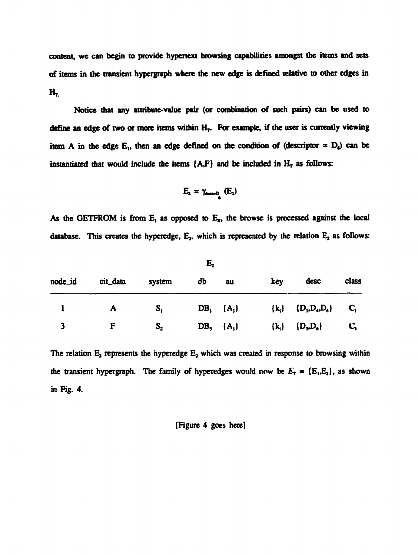**content, we can begin to provide hypertext browsing capabilities amongst the items and sets of items in the transient hypergraph where the new edge is defined relative to other edges in**   $H<sub>r</sub>$ 

**Notice that any attribute-value pair (or combination of such pairs) can be used to**  define an edge of two or more items within H<sub>r</sub>. For example, if the user is currently viewing item A in the edge  $E_1$ , then an edge defined on the condition of (descriptor =  $D_6$ ) can be **instantiated that would include the items** *[AJF]* **and be included in H, as follows:** 

$$
E_2 = \gamma_{\text{decomp}}(E_1)
$$

**As the GETFROM is from E, as opposed to Ex, the browse is processed against the local**  database. This creates the hyperedge, E<sub>2</sub>, which is represented by the relation E<sub>2</sub> as follows:

| node_id | cit_data | system  | db | au                       | key       | desc                      | class            |
|---------|----------|---------|----|--------------------------|-----------|---------------------------|------------------|
|         | A        | $S_{1}$ |    | $DB_1$ $(A_1)$           |           | ${k_1}$ ${D_1, D_4, D_6}$ | $\mathbf{C}_{1}$ |
| 3       |          | $S_{2}$ |    | $DB_3$ {A <sub>1</sub> } | $\{k_i\}$ | $(D_3, D_6)$              | $\mathbf{C}$     |

The relation  $E_2$  represents the hyperedge  $E_2$  which was created in response to browsing within the transient hypergraph. The family of hyperedges would now be  $E_T = \{E_1, E_2\}$ , as shown **in Fig. 4.** 

# **[Figure 4 goes here]**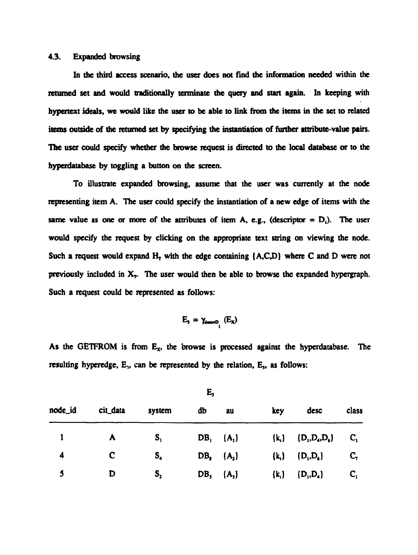#### **4.3. Expanded browsing**

In the third access scenario, the user does not find the information needed within the **returned set and would traditionally terminate the query and start again. In keeping with hypertext ideals, we would like the user to be able to link from the items in the set to related items outside of the returned set by specifying the instantiation of further attribute-value pairs. The user could specify whether the browse request is directed to the local database or to the hyperdatabase by toggling a button on the screen.** 

**To illustrate expanded browsing, assume that the user was currently at the node representing item A. The user could specify the instantiation of a new edge of items with the**  same value as one or more of the attributes of item A, e.g., (descriptor  $= D_1$ ). The user **would specify the request by clicking on the appropriate text string on viewing the node.**  Such a request would expand  $H_t$  with the edge containing  $(A, C, D)$  where C and D were not previously included in  $X<sub>T</sub>$ . The user would then be able to browse the expanded hypergraph. **Such a request could be represented as follows:** 

$$
E_3 = \gamma_{\text{deuro}}(E_x)
$$

As the GETFROM is from  $E_x$ , the browse is processed against the hyperdatabase. The **resulting hyperedge, Б,, can be represented by the relation, E,, as follows:** 

**E,** 

| node_id | cit_data | system  | db              | au                   | <b>key</b>        | desc              | class                     |
|---------|----------|---------|-----------------|----------------------|-------------------|-------------------|---------------------------|
|         | A        | $S_{1}$ |                 | $DB_1 \quad \{A_1\}$ | (k <sub>1</sub> ) | $(D_1, D_4, D_6)$ | $\mathbf{C}_{i}$          |
| 4       | C        | $S_{4}$ |                 | $DB1$ $(A2)$         | (k)               | $\{D_i, D_6\}$    | $\mathbf{C}_{7}$          |
| 5       | D        | $S_{2}$ | DB <sub>s</sub> | ${A_3}$              | $\{k_i\}$         | $\{D_i, D_4\}$    | $\mathbf{C}_{\mathbf{i}}$ |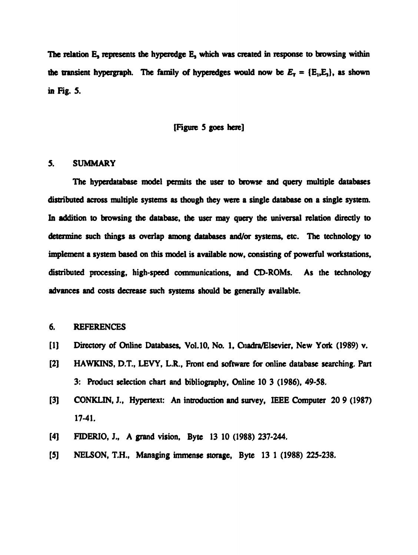**The relation E, represents the hyperedge E, which was created in response to browsing within**  the transient hypergraph. The family of hyperedges would now be  $E_T = \{E_1, E_2\}$ , as shown **in Fig. 5.** 

#### **[Figure 5 goes here]**

# **5. SUMMARY**

**The hyperdatabase model permits the user to browse and query multiple databases distributed across multiple systems as though they were a single database on a single system. In addition to browsing the database, the user may query the universal relation directly to determine such things as overlap among databases and/or systems, etc. The technology to implement a system based on this model is available now, consisting of powerful workstations, distributed processing, high-speed communications, and CD-ROMs. As the technology advances and costs decrease such systems should be generally available.** 

#### **6. REFERENCES**

- **[1] Directory of Online Databases, Vol.10, No. 1, Cnadra/Elsevier, New York (1989) v.**
- **[2] HAWKINS, D.T., LEVY, L.R., Front end software for online database searching. Part 3: Product selection chart and bibliography, Online 10 3 (1986), 49-58.**
- **[3] CONKLIN, J., Hypertext: An introduction and survey, IEEE Computer 20 9 (1987) 17-41.**
- **[4] FTOERIO, J., A grand vision, Byte 13 10 (1988) 237-244.**
- **[5] NELSON, Т.Н., Managing immense storage, Byte 13 1 (1988) 225-238.**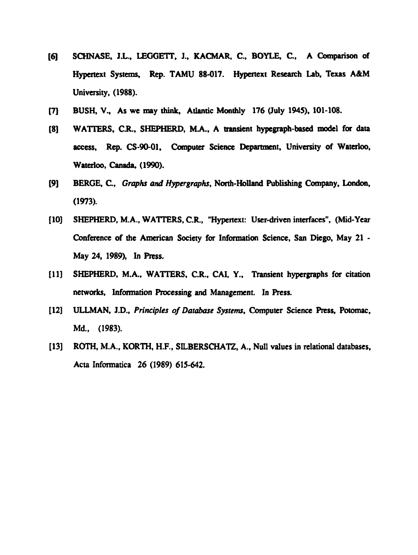- **[61 SCHNASE, J.L., LEGGETT, J., KACMAR, C, BOYLE, C, A Comparison of Hypertext Systems, Rep. TAMU 88-017. Hypertext Research Lab, Texas A&M University, (1988).**
- **[7] BUSH, V., As we may think, Atlantic Monthly 176 (July 1945), 101-108.**
- **[8] WAITERS, CR., SHEPHERD, M.A., A transient hypegraph-based model for data access, Rep. CS-90-01, Computer Science Department, University of Waterloo, Waterloo, Canada, (1990).**
- **[9] BERGE, ,** *Graphs and Hyptrgraphs,* **North-Holland Publishing Company, London, (1973).**
- **[10] SHEPHERD, M.A., WAITERS, C.R., "Hypertext: User-driven interfaces", (Mid-Year Conference of the American Society for Information Science, San Diego, May 21 - May 24, 1989), In Press.**
- **[11] SHEPHERD, M.A., WAITERS, C.R., CAI, Y., Transient hypergraphs for citation networks, Information Processing and Management. In Press.**
- **[12] ULLMAN, J.D.,** *Principles of Database Systems,* **Computer Science Press, Potomac, Md., (1983).**
- **[13] ROTH, M.A., KORTH, H.F., SILBERSCHATZ, A., Null values in relational databases, Acta Informatica 26 (1989) 615-642.**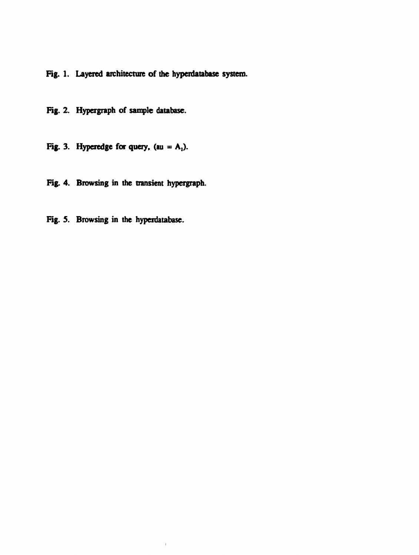**Hg. 1. Layered architecture of the hyperdatabase system.** 

**Fig. 2. Hypergraph of sample database.** 

- **Fig. 3. Hyperedge for query,**  $(au = A_1)$ **.**
- **Fig. 4. Browsing in the transient hypergraph.**

 $\bar{1}$ 

**Fig. 5. Browsing in the hyperdatabase.**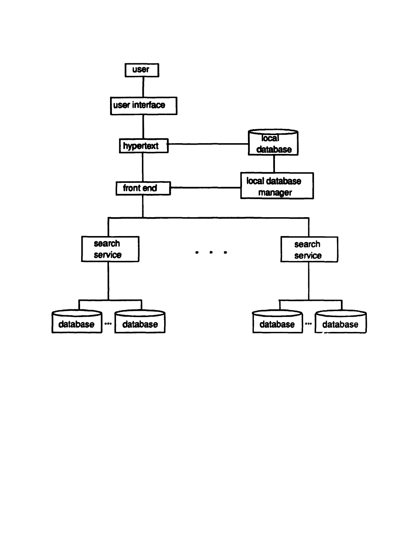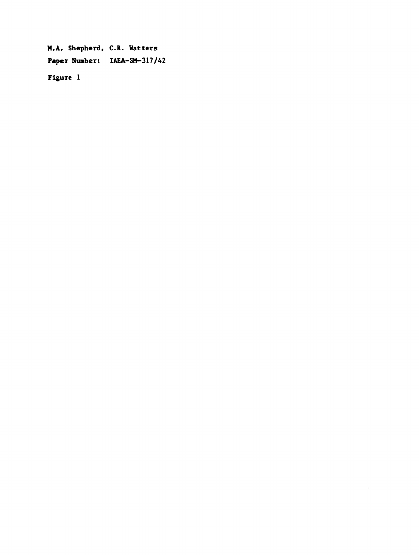M.A. Shepherd, C.R. Watters **Paper** Number: IAEA-SM-317/42

 $\hat{\mathcal{A}}$ 

 $\bar{z}$ 

Figure 1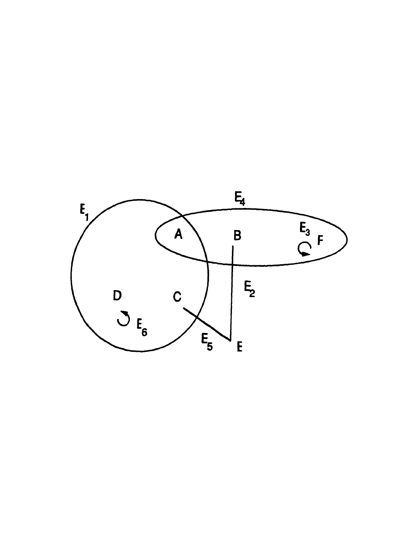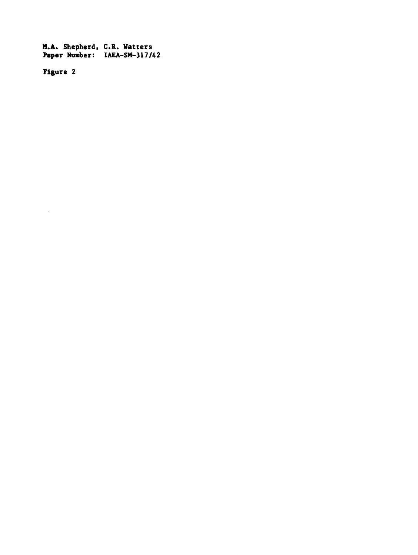H.A. Shepherd, C.R. Uatters **Paper** Number: IAEA-SM-317/42

**Figure** 2

 $\bar{z}$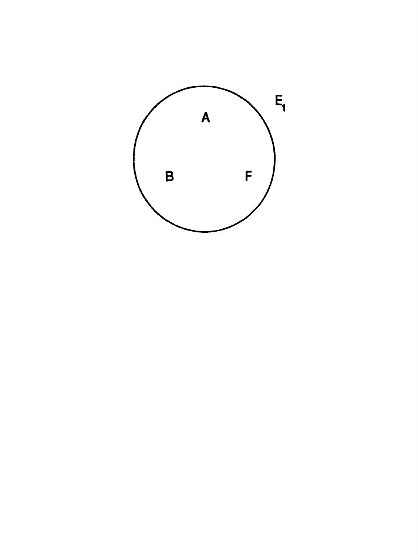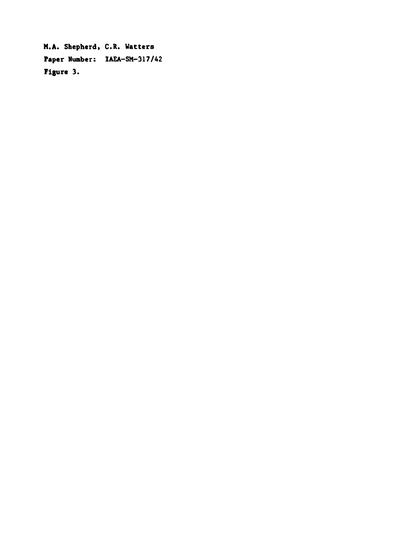M.A. Shepherd, C.R. Watters **Paper** Number: IAEA-SM-317/42 **Figure** 3.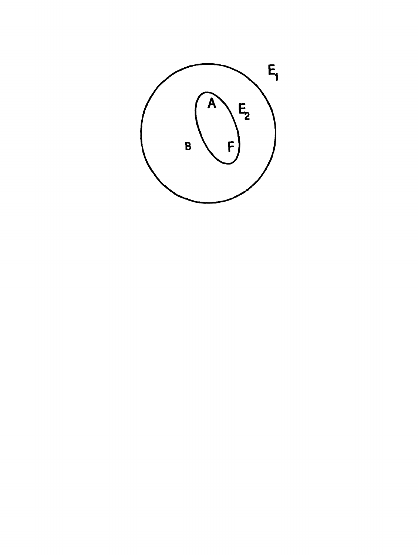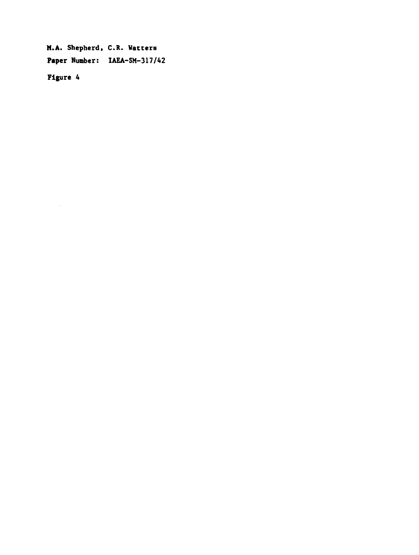**M.A. Shepherd, C.R. Wacters Paper Number: IAEA-SM-317/42** 

**Figure 4** 

 $\sim 10^7$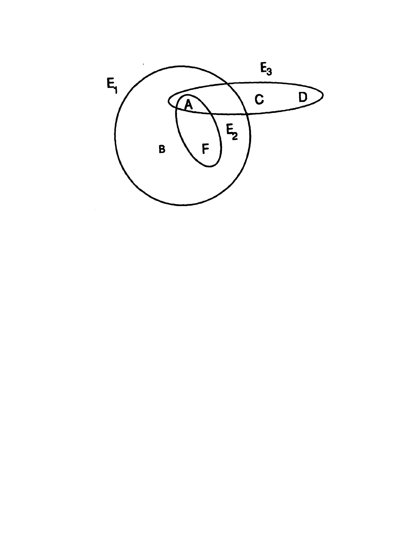